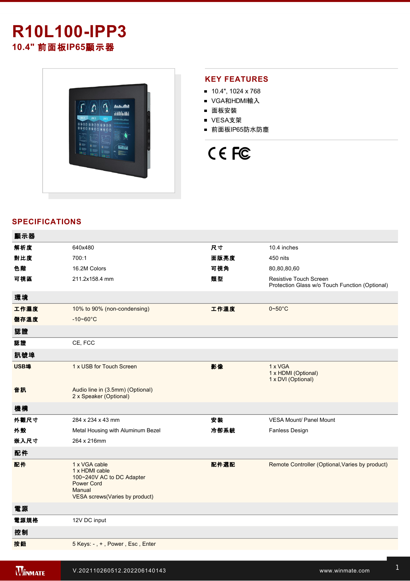## **R10L100IPP3 10.4"** 前面板**IP65**顯示器



#### **KEY FEATURES**

- 10.4", 1024 x 768
- VGA和HDMI輸入
- 面板安裝
- VESA支架
- 前面板IP65防水防塵

# CE FC

### **SPECIFICATIONS**

| 顯示器  |                                                                                                                               |      |                                                                                 |
|------|-------------------------------------------------------------------------------------------------------------------------------|------|---------------------------------------------------------------------------------|
| 解析度  | 640x480                                                                                                                       | 尺寸   | 10.4 inches                                                                     |
| 對比度  | 700:1                                                                                                                         | 面版亮度 | 450 nits                                                                        |
| 色階   | 16.2M Colors                                                                                                                  | 可視角  | 80,80,80,60                                                                     |
| 可視區  | 211.2x158.4 mm                                                                                                                | 類型   | <b>Resistive Touch Screen</b><br>Protection Glass w/o Touch Function (Optional) |
| 環境   |                                                                                                                               |      |                                                                                 |
| 工作濕度 | 10% to 90% (non-condensing)                                                                                                   | 工作溫度 | $0 - 50^{\circ}$ C                                                              |
| 儲存溫度 | $-10 - 60^{\circ}$ C                                                                                                          |      |                                                                                 |
| 認證   |                                                                                                                               |      |                                                                                 |
| 認證   | CE, FCC                                                                                                                       |      |                                                                                 |
| 訊號埠  |                                                                                                                               |      |                                                                                 |
| USB埠 | 1 x USB for Touch Screen                                                                                                      | 影像   | 1 x VGA<br>1 x HDMI (Optional)<br>1 x DVI (Optional)                            |
| 音訊   | Audio line in (3.5mm) (Optional)<br>2 x Speaker (Optional)                                                                    |      |                                                                                 |
| 機構   |                                                                                                                               |      |                                                                                 |
| 外觀尺寸 | 284 x 234 x 43 mm                                                                                                             | 安装   | <b>VESA Mount/ Panel Mount</b>                                                  |
| 外殼   | Metal Housing with Aluminum Bezel                                                                                             | 冷卻系統 | <b>Fanless Design</b>                                                           |
| 嵌入尺寸 | 264 x 216mm                                                                                                                   |      |                                                                                 |
| 配件   |                                                                                                                               |      |                                                                                 |
| 配件   | 1 x VGA cable<br>1 x HDMI cable<br>100~240V AC to DC Adapter<br><b>Power Cord</b><br>Manual<br>VESA screws(Varies by product) | 配件選配 | Remote Controller (Optional, Varies by product)                                 |
| 電源   |                                                                                                                               |      |                                                                                 |
| 電源規格 | 12V DC input                                                                                                                  |      |                                                                                 |
| 控制   |                                                                                                                               |      |                                                                                 |
| 按鈕   | 5 Keys: -, +, Power, Esc, Enter                                                                                               |      |                                                                                 |
|      |                                                                                                                               |      |                                                                                 |

**Windows 2002 Property Construction**